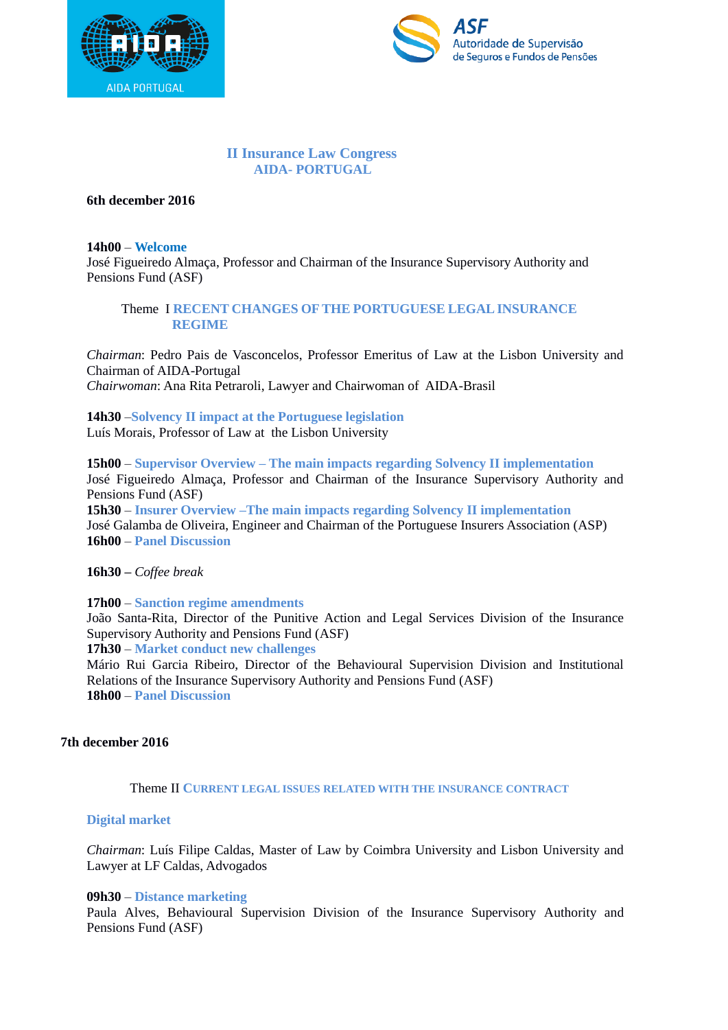



## **II Insurance Law Congress AIDA- PORTUGAL**

**6th december 2016**

#### **14h00** – **Welcome**

José Figueiredo Almaça, Professor and Chairman of the Insurance Supervisory Authority and Pensions Fund (ASF)

## Theme I **RECENT CHANGES OFTHE PORTUGUESE LEGALINSURANCE REGIME**

*Chairman*: Pedro Pais de Vasconcelos, Professor Emeritus of Law at the Lisbon University and Chairman of AIDA-Portugal *Chairwoman*: Ana Rita Petraroli, Lawyer and Chairwoman of AIDA-Brasil

# **14h30** –**Solvency II impact at the Portuguese legislation**

Luís Morais, Professor of Law at the Lisbon University

**15h00** – **Supervisor Overview – The main impacts regarding Solvency II implementation** José Figueiredo Almaça, Professor and Chairman of the Insurance Supervisory Authority and Pensions Fund (ASF)

**15h30** – **Insurer Overview –The main impacts regarding Solvency II implementation** José Galamba de Oliveira, Engineer and Chairman of the Portuguese Insurers Association (ASP) **16h00** – **Panel Discussion**

**16h30 –** *Coffee break*

**17h00** – **Sanction regime amendments**

João Santa-Rita, Director of the Punitive Action and Legal Services Division of the Insurance Supervisory Authority and Pensions Fund (ASF)

**17h30** – **Market conduct new challenges**

Mário Rui Garcia Ribeiro, Director of the Behavioural Supervision Division and Institutional Relations of the Insurance Supervisory Authority and Pensions Fund (ASF) **18h00** – **Panel Discussion**

### **7th december 2016**

### Theme II **CURRENT LEGAL ISSUES RELATED WITH THE INSURANCE CONTRACT**

### **Digital market**

*Chairman*: Luís Filipe Caldas, Master of Law by Coimbra University and Lisbon University and Lawyer at LF Caldas, Advogados

### **09h30** – **Distance marketing**

Paula Alves, Behavioural Supervision Division of the Insurance Supervisory Authority and Pensions Fund (ASF)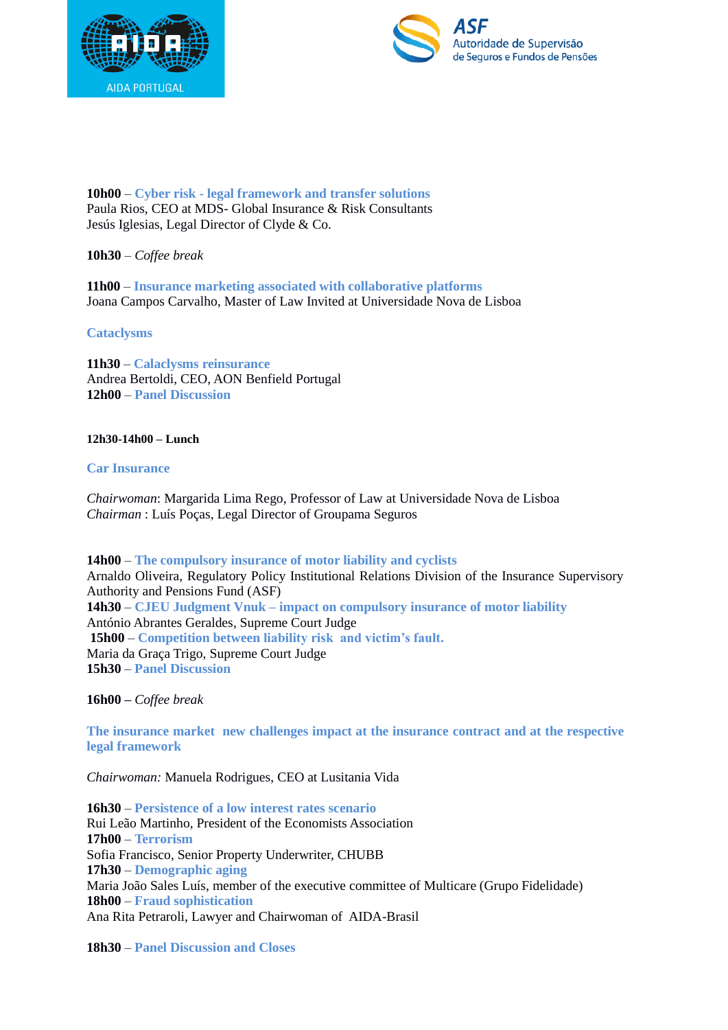



**10h00** – **Cyber risk - legal framework and transfer solutions** Paula Rios, CEO at MDS- Global Insurance & Risk Consultants Jesús Iglesias, Legal Director of Clyde & Co.

## **10h30** – *Coffee break*

**11h00** – **Insurance marketing associated with collaborative platforms** Joana Campos Carvalho, Master of Law Invited at Universidade Nova de Lisboa

### **Cataclysms**

**11h30** – **Calaclysms reinsurance** Andrea Bertoldi, CEO, AON Benfield Portugal **12h00** – **Panel Discussion**

#### **12h30-14h00 – Lunch**

### **Car Insurance**

*Chairwoman*: Margarida Lima Rego, Professor of Law at Universidade Nova de Lisboa *Chairman* : Luís Poças, Legal Director of Groupama Seguros

**14h00** – **The compulsory insurance of motor liability and cyclists** Arnaldo Oliveira, Regulatory Policy Institutional Relations Division of the Insurance Supervisory Authority and Pensions Fund (ASF) **14h30** – **CJEU Judgment Vnuk – impact on compulsory insurance of motor liability** António Abrantes Geraldes, Supreme Court Judge **15h00** – **Competition between liability risk and victim's fault.** Maria da Graça Trigo, Supreme Court Judge **15h30** – **Panel Discussion**

**16h00 –** *Coffee break*

**The insurance market new challenges impact at the insurance contract and at the respective legal framework**

*Chairwoman:* Manuela Rodrigues, CEO at Lusitania Vida

**16h30** – **Persistence of a low interest rates scenario** Rui Leão Martinho, President of the Economists Association **17h00** – **Terrorism** Sofia Francisco, Senior Property Underwriter, CHUBB **17h30** – **Demographic aging** Maria João Sales Luís, member of the executive committee of Multicare (Grupo Fidelidade) **18h00** – **Fraud sophistication** Ana Rita Petraroli, Lawyer and Chairwoman of AIDA-Brasil

**18h30** – **Panel Discussion and Closes**